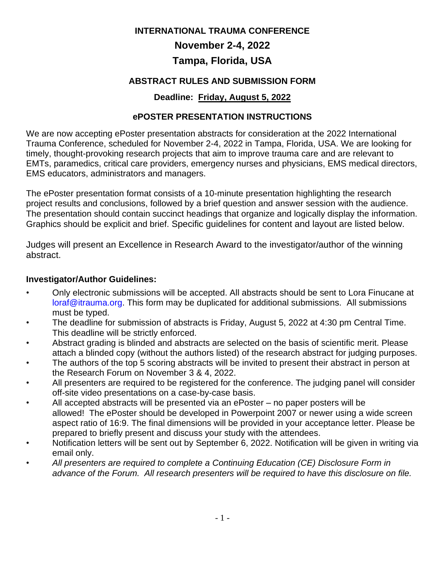#### **INTERNATIONAL TRAUMA CONFERENCE**

# **November 2-4, 2022**

## **Tampa, Florida, USA**

## **ABSTRACT RULES AND SUBMISSION FORM**

## **Deadline: Friday, August 5, 2022**

## **ePOSTER PRESENTATION INSTRUCTIONS**

We are now accepting ePoster presentation abstracts for consideration at the 2022 International Trauma Conference, scheduled for November 2-4, 2022 in Tampa, Florida, USA. We are looking for timely, thought-provoking research projects that aim to improve trauma care and are relevant to EMTs, paramedics, critical care providers, emergency nurses and physicians, EMS medical directors, EMS educators, administrators and managers.

The ePoster presentation format consists of a 10-minute presentation highlighting the research project results and conclusions, followed by a brief question and answer session with the audience. The presentation should contain succinct headings that organize and logically display the information. Graphics should be explicit and brief. Specific guidelines for content and layout are listed below.

Judges will present an Excellence in Research Award to the investigator/author of the winning abstract.

#### **Investigator/Author Guidelines:**

- Only electronic submissions will be accepted. All abstracts should be sent to Lora Finucane at [loraf@itrauma.org.](mailto:loraf@itrauma.org) This form may be duplicated for additional submissions. All submissions must be typed.
- The deadline for submission of abstracts is Friday, August 5, 2022 at 4:30 pm Central Time. This deadline will be strictly enforced.
- Abstract grading is blinded and abstracts are selected on the basis of scientific merit. Please attach a blinded copy (without the authors listed) of the research abstract for judging purposes.
- The authors of the top 5 scoring abstracts will be invited to present their abstract in person at the Research Forum on November 3 & 4, 2022.
- All presenters are required to be registered for the conference. The judging panel will consider off-site video presentations on a case-by-case basis.
- All accepted abstracts will be presented via an ePoster no paper posters will be allowed! The ePoster should be developed in Powerpoint 2007 or newer using a wide screen aspect ratio of 16:9. The final dimensions will be provided in your acceptance letter. Please be prepared to briefly present and discuss your study with the attendees.
- Notification letters will be sent out by September 6, 2022. Notification will be given in writing via email only.
- *All presenters are required to complete a Continuing Education (CE) Disclosure Form in advance of the Forum. All research presenters will be required to have this disclosure on file.*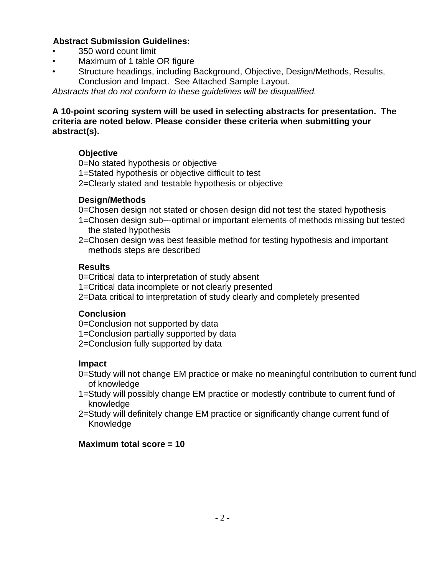#### **Abstract Submission Guidelines:**

- 350 word count limit
- Maximum of 1 table OR figure
- Structure headings, including Background, Objective, Design/Methods, Results, Conclusion and Impact. See Attached Sample Layout.

*Abstracts that do not conform to these guidelines will be disqualified.*

#### **A 10-point scoring system will be used in selecting abstracts for presentation. The criteria are noted below. Please consider these criteria when submitting your abstract(s).**

## **Objective**

- 0=No stated hypothesis or objective
- 1=Stated hypothesis or objective difficult to test
- 2=Clearly stated and testable hypothesis or objective

## **Design/Methods**

- 0=Chosen design not stated or chosen design did not test the stated hypothesis
- 1=Chosen design sub--‐optimal or important elements of methods missing but tested the stated hypothesis
- 2=Chosen design was best feasible method for testing hypothesis and important methods steps are described

## **Results**

- 0=Critical data to interpretation of study absent
- 1=Critical data incomplete or not clearly presented
- 2=Data critical to interpretation of study clearly and completely presented

#### **Conclusion**

- 0=Conclusion not supported by data
- 1=Conclusion partially supported by data
- 2=Conclusion fully supported by data

#### **Impact**

- 0=Study will not change EM practice or make no meaningful contribution to current fund of knowledge
- 1=Study will possibly change EM practice or modestly contribute to current fund of knowledge
- 2=Study will definitely change EM practice or significantly change current fund of Knowledge

## **Maximum total score = 10**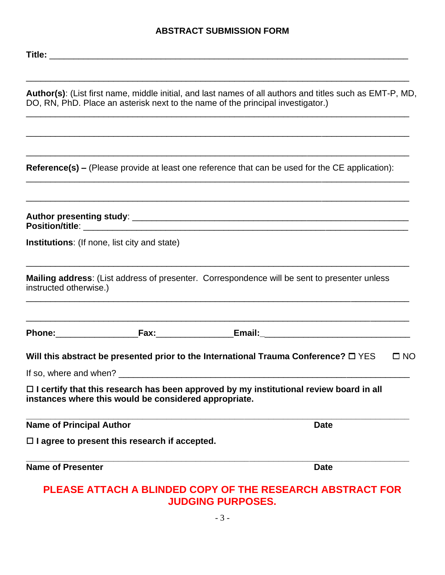#### **ABSTRACT SUBMISSION FORM**

**Author(s)**: (List first name, middle initial, and last names of all authors and titles such as EMT-P, MD, DO, RN, PhD. Place an asterisk next to the name of the principal investigator.) \_\_\_\_\_\_\_\_\_\_\_\_\_\_\_\_\_\_\_\_\_\_\_\_\_\_\_\_\_\_\_\_\_\_\_\_\_\_\_\_\_\_\_\_\_\_\_\_\_\_\_\_\_\_\_\_\_\_\_\_\_\_\_\_\_\_\_\_\_\_\_\_\_\_\_\_\_\_\_

\_\_\_\_\_\_\_\_\_\_\_\_\_\_\_\_\_\_\_\_\_\_\_\_\_\_\_\_\_\_\_\_\_\_\_\_\_\_\_\_\_\_\_\_\_\_\_\_\_\_\_\_\_\_\_\_\_\_\_\_\_\_\_\_\_\_\_\_\_\_\_\_\_\_\_\_\_\_\_

\_\_\_\_\_\_\_\_\_\_\_\_\_\_\_\_\_\_\_\_\_\_\_\_\_\_\_\_\_\_\_\_\_\_\_\_\_\_\_\_\_\_\_\_\_\_\_\_\_\_\_\_\_\_\_\_\_\_\_\_\_\_\_\_\_\_\_\_\_\_\_\_\_\_\_\_\_\_\_

\_\_\_\_\_\_\_\_\_\_\_\_\_\_\_\_\_\_\_\_\_\_\_\_\_\_\_\_\_\_\_\_\_\_\_\_\_\_\_\_\_\_\_\_\_\_\_\_\_\_\_\_\_\_\_\_\_\_\_\_\_\_\_\_\_\_\_\_\_\_\_\_\_\_\_\_\_\_\_

\_\_\_\_\_\_\_\_\_\_\_\_\_\_\_\_\_\_\_\_\_\_\_\_\_\_\_\_\_\_\_\_\_\_\_\_\_\_\_\_\_\_\_\_\_\_\_\_\_\_\_\_\_\_\_\_\_\_\_\_\_\_\_\_\_\_\_\_\_\_\_\_\_\_\_\_\_\_\_

**Reference(s) –** (Please provide at least one reference that can be used for the CE application):

|                                 | <b>Institutions:</b> (If none, list city and state)   |                                                                                                             |
|---------------------------------|-------------------------------------------------------|-------------------------------------------------------------------------------------------------------------|
| instructed otherwise.)          |                                                       | Mailing address: (List address of presenter. Correspondence will be sent to presenter unless                |
|                                 |                                                       |                                                                                                             |
|                                 |                                                       | Will this abstract be presented prior to the International Trauma Conference? $\square$ YES<br>$\square$ NO |
|                                 |                                                       |                                                                                                             |
|                                 | instances where this would be considered appropriate. | $\Box$ I certify that this research has been approved by my institutional review board in all               |
| <b>Name of Principal Author</b> |                                                       | <b>Date</b>                                                                                                 |
|                                 | $\Box$ I agree to present this research if accepted.  |                                                                                                             |
| <b>Name of Presenter</b>        |                                                       | <b>Date</b>                                                                                                 |
|                                 |                                                       | <u>ΡΙ ΕΔΚΕ ΔΤΤΔΩΗ Δ RLINDED COPY OF THE RESEΔROH ΔRSTRACT EOR</u>                                           |

## **PLEASE ATTACH A BLINDED COPY OF THE RESEARCH ABSTRACT FOR JUDGING PURPOSES.**